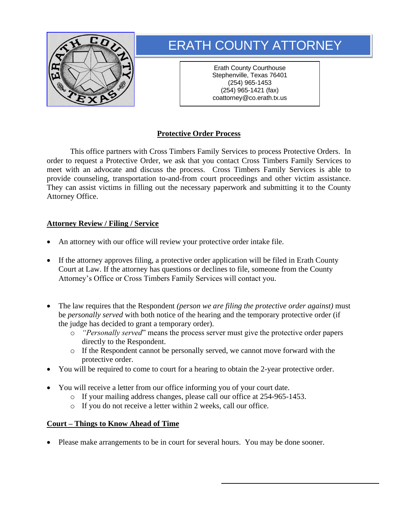

# ERATH COUNTY ATTORNEY

Erath County Courthouse Stephenville, Texas 76401 (254) 965-1453 (254) 965-1421 (fax) coattorney@co.erath.tx.us

## **Protective Order Process**

This office partners with Cross Timbers Family Services to process Protective Orders. In order to request a Protective Order, we ask that you contact Cross Timbers Family Services to meet with an advocate and discuss the process. Cross Timbers Family Services is able to provide counseling, transportation to-and-from court proceedings and other victim assistance. They can assist victims in filling out the necessary paperwork and submitting it to the County Attorney Office.

### **Attorney Review / Filing / Service**

- An attorney with our office will review your protective order intake file.
- If the attorney approves filing, a protective order application will be filed in Erath County Court at Law. If the attorney has questions or declines to file, someone from the County Attorney's Office or Cross Timbers Family Services will contact you.
- The law requires that the Respondent *(person we are filing the protective order against)* must be *personally served* with both notice of the hearing and the temporary protective order (if the judge has decided to grant a temporary order).
	- o *"Personally served*" means the process server must give the protective order papers directly to the Respondent.
	- o If the Respondent cannot be personally served, we cannot move forward with the protective order.
- You will be required to come to court for a hearing to obtain the 2-year protective order.
- You will receive a letter from our office informing you of your court date.
	- o If your mailing address changes, please call our office at 254-965-1453.
	- o If you do not receive a letter within 2 weeks, call our office.

### **Court – Things to Know Ahead of Time**

• Please make arrangements to be in court for several hours. You may be done sooner.